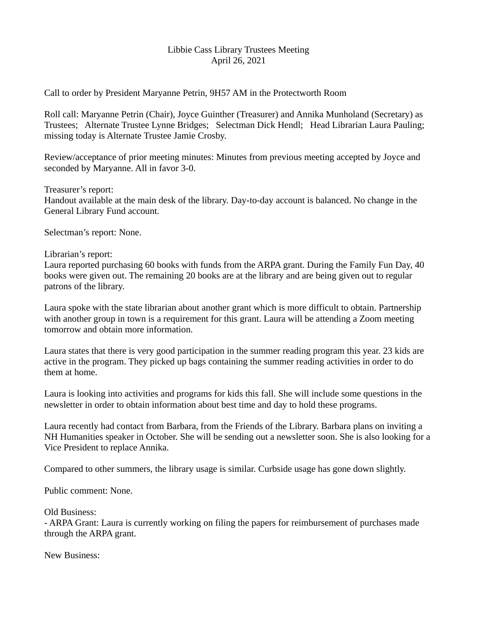## Libbie Cass Library Trustees Meeting April 26, 2021

Call to order by President Maryanne Petrin, 9H57 AM in the Protectworth Room

Roll call: Maryanne Petrin (Chair), Joyce Guinther (Treasurer) and Annika Munholand (Secretary) as Trustees; Alternate Trustee Lynne Bridges; Selectman Dick Hendl; Head Librarian Laura Pauling; missing today is Alternate Trustee Jamie Crosby.

Review/acceptance of prior meeting minutes: Minutes from previous meeting accepted by Joyce and seconded by Maryanne. All in favor 3-0.

Treasurer's report: Handout available at the main desk of the library. Day-to-day account is balanced. No change in the General Library Fund account.

Selectman's report: None.

Librarian's report:

Laura reported purchasing 60 books with funds from the ARPA grant. During the Family Fun Day, 40 books were given out. The remaining 20 books are at the library and are being given out to regular patrons of the library.

Laura spoke with the state librarian about another grant which is more difficult to obtain. Partnership with another group in town is a requirement for this grant. Laura will be attending a Zoom meeting tomorrow and obtain more information.

Laura states that there is very good participation in the summer reading program this year. 23 kids are active in the program. They picked up bags containing the summer reading activities in order to do them at home.

Laura is looking into activities and programs for kids this fall. She will include some questions in the newsletter in order to obtain information about best time and day to hold these programs.

Laura recently had contact from Barbara, from the Friends of the Library. Barbara plans on inviting a NH Humanities speaker in October. She will be sending out a newsletter soon. She is also looking for a Vice President to replace Annika.

Compared to other summers, the library usage is similar. Curbside usage has gone down slightly.

Public comment: None.

Old Business:

- ARPA Grant: Laura is currently working on filing the papers for reimbursement of purchases made through the ARPA grant.

New Business: